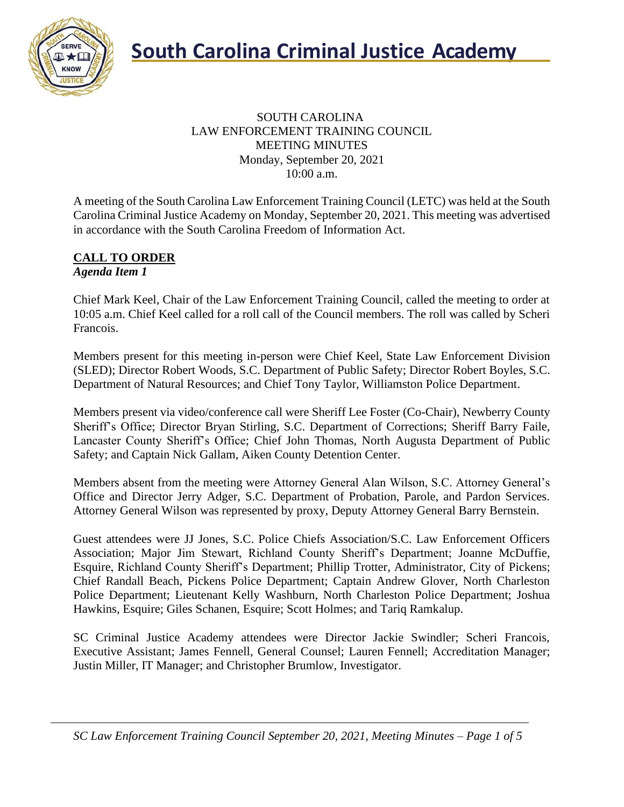

#### SOUTH CAROLINA LAW ENFORCEMENT TRAINING COUNCIL MEETING MINUTES Monday, September 20, 2021 10:00 a.m.

A meeting of the South Carolina Law Enforcement Training Council (LETC) was held at the South Carolina Criminal Justice Academy on Monday, September 20, 2021. This meeting was advertised in accordance with the South Carolina Freedom of Information Act.

#### **CALL TO ORDER** *Agenda Item 1*

Chief Mark Keel, Chair of the Law Enforcement Training Council, called the meeting to order at 10:05 a.m. Chief Keel called for a roll call of the Council members. The roll was called by Scheri Francois.

Members present for this meeting in-person were Chief Keel, State Law Enforcement Division (SLED); Director Robert Woods, S.C. Department of Public Safety; Director Robert Boyles, S.C. Department of Natural Resources; and Chief Tony Taylor, Williamston Police Department.

Members present via video/conference call were Sheriff Lee Foster (Co-Chair), Newberry County Sheriff's Office; Director Bryan Stirling, S.C. Department of Corrections; Sheriff Barry Faile, Lancaster County Sheriff's Office; Chief John Thomas, North Augusta Department of Public Safety; and Captain Nick Gallam, Aiken County Detention Center.

Members absent from the meeting were Attorney General Alan Wilson, S.C. Attorney General's Office and Director Jerry Adger, S.C. Department of Probation, Parole, and Pardon Services. Attorney General Wilson was represented by proxy, Deputy Attorney General Barry Bernstein.

Guest attendees were JJ Jones, S.C. Police Chiefs Association/S.C. Law Enforcement Officers Association; Major Jim Stewart, Richland County Sheriff's Department; Joanne McDuffie, Esquire, Richland County Sheriff's Department; Phillip Trotter, Administrator, City of Pickens; Chief Randall Beach, Pickens Police Department; Captain Andrew Glover, North Charleston Police Department; Lieutenant Kelly Washburn, North Charleston Police Department; Joshua Hawkins, Esquire; Giles Schanen, Esquire; Scott Holmes; and Tariq Ramkalup.

SC Criminal Justice Academy attendees were Director Jackie Swindler; Scheri Francois, Executive Assistant; James Fennell, General Counsel; Lauren Fennell; Accreditation Manager; Justin Miller, IT Manager; and Christopher Brumlow, Investigator.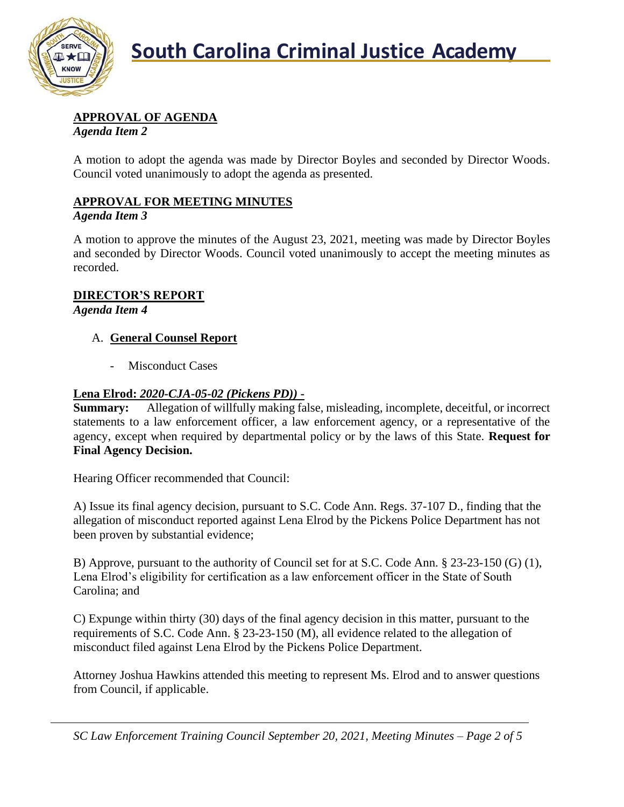

## **APPROVAL OF AGENDA**

*Agenda Item 2*

A motion to adopt the agenda was made by Director Boyles and seconded by Director Woods. Council voted unanimously to adopt the agenda as presented.

## **APPROVAL FOR MEETING MINUTES**

## *Agenda Item 3*

A motion to approve the minutes of the August 23, 2021, meeting was made by Director Boyles and seconded by Director Woods. Council voted unanimously to accept the meeting minutes as recorded.

## **DIRECTOR'S REPORT**

*Agenda Item 4*

## A. **General Counsel Report**

Misconduct Cases

## **Lena Elrod:** *2020-CJA-05-02 (Pickens PD))* **-**

**Summary:** Allegation of willfully making false, misleading, incomplete, deceitful, or incorrect statements to a law enforcement officer, a law enforcement agency, or a representative of the agency, except when required by departmental policy or by the laws of this State. **Request for Final Agency Decision.**

Hearing Officer recommended that Council:

A) Issue its final agency decision, pursuant to S.C. Code Ann. Regs. 37-107 D., finding that the allegation of misconduct reported against Lena Elrod by the Pickens Police Department has not been proven by substantial evidence;

B) Approve, pursuant to the authority of Council set for at S.C. Code Ann. § 23-23-150 (G) (1), Lena Elrod's eligibility for certification as a law enforcement officer in the State of South Carolina; and

C) Expunge within thirty (30) days of the final agency decision in this matter, pursuant to the requirements of S.C. Code Ann. § 23-23-150 (M), all evidence related to the allegation of misconduct filed against Lena Elrod by the Pickens Police Department.

Attorney Joshua Hawkins attended this meeting to represent Ms. Elrod and to answer questions from Council, if applicable.

*SC Law Enforcement Training Council September 20, 2021, Meeting Minutes – Page 2 of 5*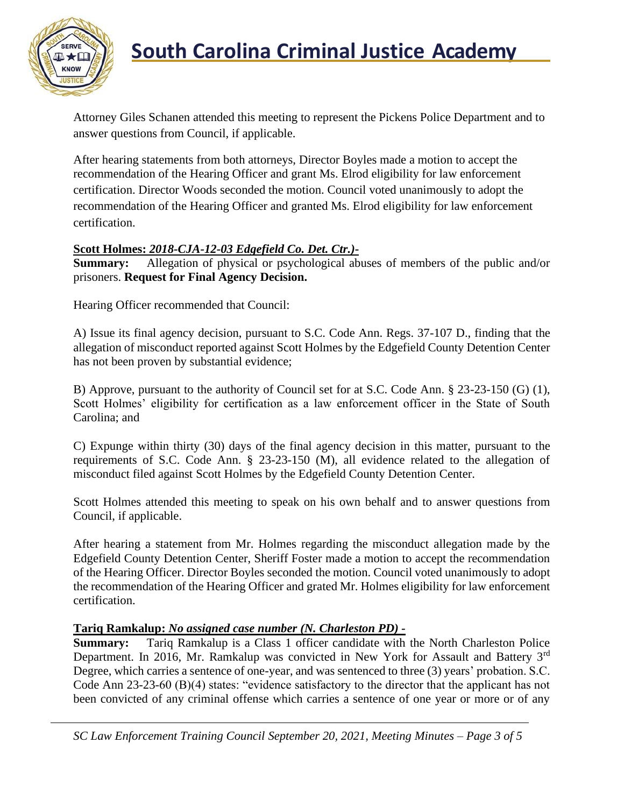

## **South Carolina Criminal Justice Academy**

Attorney Giles Schanen attended this meeting to represent the Pickens Police Department and to answer questions from Council, if applicable.

After hearing statements from both attorneys, Director Boyles made a motion to accept the recommendation of the Hearing Officer and grant Ms. Elrod eligibility for law enforcement certification. Director Woods seconded the motion. Council voted unanimously to adopt the recommendation of the Hearing Officer and granted Ms. Elrod eligibility for law enforcement certification.

## **Scott Holmes:** *2018-CJA-12-03 Edgefield Co. Det. Ctr.)***-**

**Summary:** Allegation of physical or psychological abuses of members of the public and/or prisoners. **Request for Final Agency Decision.**

Hearing Officer recommended that Council:

A) Issue its final agency decision, pursuant to S.C. Code Ann. Regs. 37-107 D., finding that the allegation of misconduct reported against Scott Holmes by the Edgefield County Detention Center has not been proven by substantial evidence;

B) Approve, pursuant to the authority of Council set for at S.C. Code Ann. § 23-23-150 (G) (1), Scott Holmes' eligibility for certification as a law enforcement officer in the State of South Carolina; and

C) Expunge within thirty (30) days of the final agency decision in this matter, pursuant to the requirements of S.C. Code Ann. § 23-23-150 (M), all evidence related to the allegation of misconduct filed against Scott Holmes by the Edgefield County Detention Center.

Scott Holmes attended this meeting to speak on his own behalf and to answer questions from Council, if applicable.

After hearing a statement from Mr. Holmes regarding the misconduct allegation made by the Edgefield County Detention Center, Sheriff Foster made a motion to accept the recommendation of the Hearing Officer. Director Boyles seconded the motion. Council voted unanimously to adopt the recommendation of the Hearing Officer and grated Mr. Holmes eligibility for law enforcement certification.

## **Tariq Ramkalup:** *No assigned case number (N. Charleston PD) -*

**Summary:** Tariq Ramkalup is a Class 1 officer candidate with the North Charleston Police Department. In 2016, Mr. Ramkalup was convicted in New York for Assault and Battery 3<sup>rd</sup> Degree, which carries a sentence of one-year, and was sentenced to three (3) years' probation. S.C. Code Ann 23-23-60 (B)(4) states: "evidence satisfactory to the director that the applicant has not been convicted of any criminal offense which carries a sentence of one year or more or of any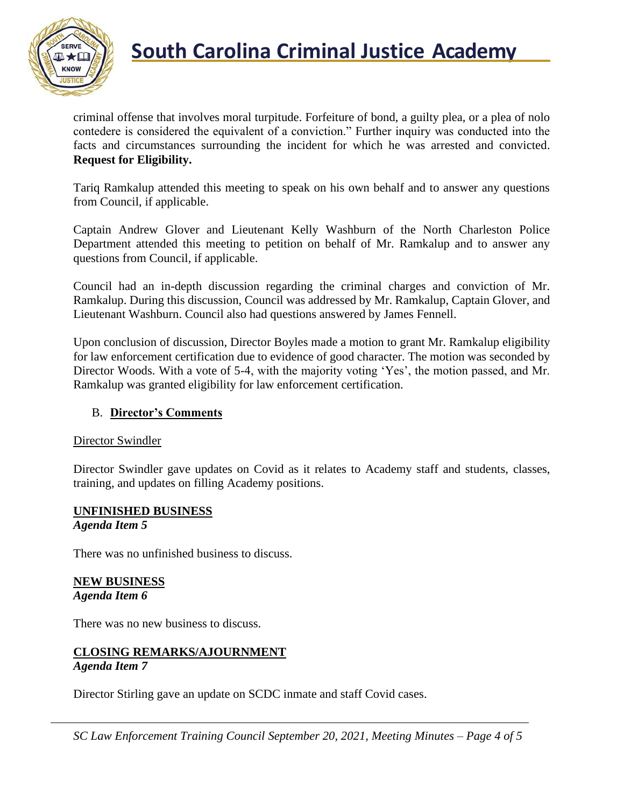

criminal offense that involves moral turpitude. Forfeiture of bond, a guilty plea, or a plea of nolo contedere is considered the equivalent of a conviction." Further inquiry was conducted into the facts and circumstances surrounding the incident for which he was arrested and convicted. **Request for Eligibility.**

Tariq Ramkalup attended this meeting to speak on his own behalf and to answer any questions from Council, if applicable.

Captain Andrew Glover and Lieutenant Kelly Washburn of the North Charleston Police Department attended this meeting to petition on behalf of Mr. Ramkalup and to answer any questions from Council, if applicable.

Council had an in-depth discussion regarding the criminal charges and conviction of Mr. Ramkalup. During this discussion, Council was addressed by Mr. Ramkalup, Captain Glover, and Lieutenant Washburn. Council also had questions answered by James Fennell.

Upon conclusion of discussion, Director Boyles made a motion to grant Mr. Ramkalup eligibility for law enforcement certification due to evidence of good character. The motion was seconded by Director Woods. With a vote of 5-4, with the majority voting 'Yes', the motion passed, and Mr. Ramkalup was granted eligibility for law enforcement certification.

## B. **Director's Comments**

#### Director Swindler

Director Swindler gave updates on Covid as it relates to Academy staff and students, classes, training, and updates on filling Academy positions.

#### **UNFINISHED BUSINESS** *Agenda Item 5*

There was no unfinished business to discuss.

#### **NEW BUSINESS** *Agenda Item 6*

There was no new business to discuss.

#### **CLOSING REMARKS/AJOURNMENT** *Agenda Item 7*

Director Stirling gave an update on SCDC inmate and staff Covid cases.

*SC Law Enforcement Training Council September 20, 2021, Meeting Minutes – Page 4 of 5*